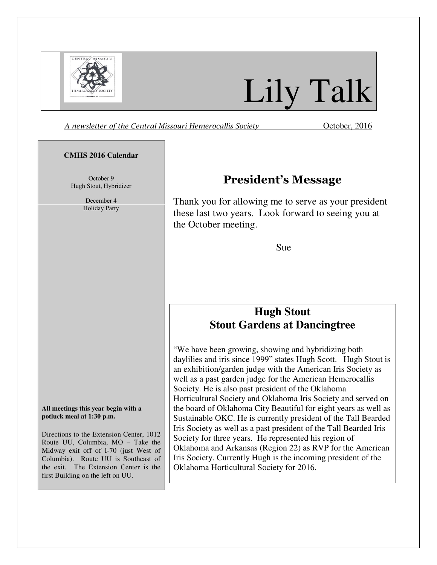

# Lily Talk

A newsletter of the Central Missouri Hemerocallis Society **Channel Contract Contract Contract** October, 2016

#### **CMHS 2016 Calendar**

October 9 Hugh Stout, Hybridizer

> December 4 Holiday Party

**All meetings this year begin with a potluck meal at 1:30 p.m.** 

Directions to the Extension Center, 1012 Route UU, Columbia, MO – Take the Midway exit off of I-70 (just West of Columbia). Route UU is Southeast of the exit. The Extension Center is the first Building on the left on UU.

## President's Message

Thank you for allowing me to serve as your president these last two years. Look forward to seeing you at the October meeting.

Sue

## **Hugh Stout Stout Gardens at Dancingtree**

"We have been growing, showing and hybridizing both daylilies and iris since 1999" states Hugh Scott. Hugh Stout is an exhibition/garden judge with the American Iris Society as well as a past garden judge for the American Hemerocallis Society. He is also past president of the Oklahoma Horticultural Society and Oklahoma Iris Society and served on the board of Oklahoma City Beautiful for eight years as well as Sustainable OKC. He is currently president of the Tall Bearded Iris Society as well as a past president of the Tall Bearded Iris Society for three years. He represented his region of Oklahoma and Arkansas (Region 22) as RVP for the American Iris Society. Currently Hugh is the incoming president of the Oklahoma Horticultural Society for 2016.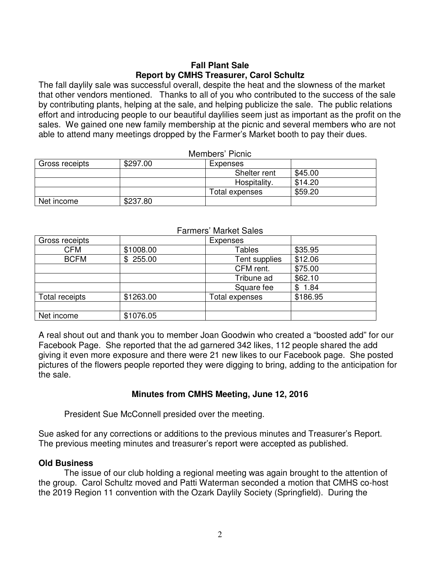#### **Fall Plant Sale Report by CMHS Treasurer, Carol Schultz**

The fall daylily sale was successful overall, despite the heat and the slowness of the market that other vendors mentioned. Thanks to all of you who contributed to the success of the sale by contributing plants, helping at the sale, and helping publicize the sale. The public relations effort and introducing people to our beautiful daylilies seem just as important as the profit on the sales. We gained one new family membership at the picnic and several members who are not able to attend many meetings dropped by the Farmer's Market booth to pay their dues.

Members' Picnic

|                |          | <b>UNIULE CIONINU</b> |         |  |
|----------------|----------|-----------------------|---------|--|
| Gross receipts | \$297.00 | Expenses              |         |  |
|                |          | Shelter rent          | \$45.00 |  |
|                |          | Hospitality.          | \$14.20 |  |
|                |          | Total expenses        | \$59.20 |  |
| Net income     | \$237.80 |                       |         |  |

|            |          | --------       |         |
|------------|----------|----------------|---------|
|            |          | Total expenses | \$59.20 |
| Net income | \$237.80 |                |         |
|            |          |                |         |
|            |          |                |         |

|                |           | I ANNGIS IVIAINGLUAIGS |            |
|----------------|-----------|------------------------|------------|
| Gross receipts |           | Expenses               |            |
| <b>CFM</b>     | \$1008.00 | <b>Tables</b>          | \$35.95    |
| <b>BCFM</b>    | \$255.00  | Tent supplies          | \$12.06    |
|                |           | CFM rent.              | \$75.00    |
|                |           | Tribune ad             | \$62.10    |
|                |           | Square fee             | 1.84<br>\$ |
| Total receipts | \$1263.00 | Total expenses         | \$186.95   |
|                |           |                        |            |
| Net income     | \$1076.05 |                        |            |

#### Farmers' Market Sales

A real shout out and thank you to member Joan Goodwin who created a "boosted add" for our Facebook Page. She reported that the ad garnered 342 likes, 112 people shared the add giving it even more exposure and there were 21 new likes to our Facebook page. She posted pictures of the flowers people reported they were digging to bring, adding to the anticipation for the sale.

### **Minutes from CMHS Meeting, June 12, 2016**

President Sue McConnell presided over the meeting.

Sue asked for any corrections or additions to the previous minutes and Treasurer's Report. The previous meeting minutes and treasurer's report were accepted as published.

### **Old Business**

The issue of our club holding a regional meeting was again brought to the attention of the group. Carol Schultz moved and Patti Waterman seconded a motion that CMHS co-host the 2019 Region 11 convention with the Ozark Daylily Society (Springfield). During the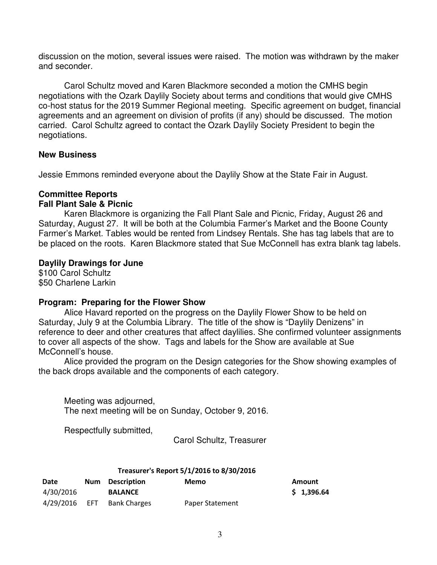discussion on the motion, several issues were raised. The motion was withdrawn by the maker and seconder.

Carol Schultz moved and Karen Blackmore seconded a motion the CMHS begin negotiations with the Ozark Daylily Society about terms and conditions that would give CMHS co-host status for the 2019 Summer Regional meeting. Specific agreement on budget, financial agreements and an agreement on division of profits (if any) should be discussed. The motion carried. Carol Schultz agreed to contact the Ozark Daylily Society President to begin the negotiations.

#### **New Business**

Jessie Emmons reminded everyone about the Daylily Show at the State Fair in August.

#### **Committee Reports**

#### **Fall Plant Sale & Picnic**

Karen Blackmore is organizing the Fall Plant Sale and Picnic, Friday, August 26 and Saturday, August 27. It will be both at the Columbia Farmer's Market and the Boone County Farmer's Market. Tables would be rented from Lindsey Rentals. She has tag labels that are to be placed on the roots. Karen Blackmore stated that Sue McConnell has extra blank tag labels.

#### **Daylily Drawings for June**

\$100 Carol Schultz \$50 Charlene Larkin

### **Program: Preparing for the Flower Show**

Alice Havard reported on the progress on the Daylily Flower Show to be held on Saturday, July 9 at the Columbia Library. The title of the show is "Daylily Denizens" in reference to deer and other creatures that affect daylilies. She confirmed volunteer assignments to cover all aspects of the show. Tags and labels for the Show are available at Sue McConnell's house.

Alice provided the program on the Design categories for the Show showing examples of the back drops available and the components of each category.

Meeting was adjourned, The next meeting will be on Sunday, October 9, 2016.

Respectfully submitted,

Carol Schultz, Treasurer

#### Treasurer's Report 5/1/2016 to 8/30/2016

| Date      | Num Description            | Memo            | <b>Amount</b> |
|-----------|----------------------------|-----------------|---------------|
| 4/30/2016 | <b>BALANCE</b>             |                 | \$1,396.      |
|           | 4/29/2016 EFT Bank Charges | Paper Statement |               |

 $$1,396.64$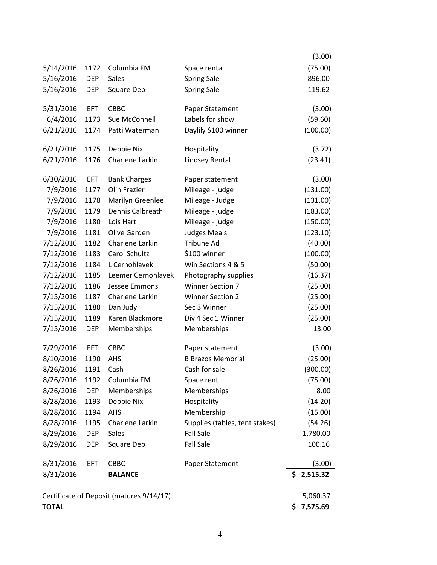|              |            |                                          |                                | (3.00)     |
|--------------|------------|------------------------------------------|--------------------------------|------------|
| 5/14/2016    | 1172       | Columbia FM                              | Space rental                   | (75.00)    |
| 5/16/2016    | <b>DEP</b> | <b>Sales</b>                             | <b>Spring Sale</b>             | 896.00     |
| 5/16/2016    | <b>DEP</b> | Square Dep                               | <b>Spring Sale</b>             | 119.62     |
| 5/31/2016    | <b>EFT</b> | CBBC                                     | Paper Statement                | (3.00)     |
|              |            |                                          | Labels for show                |            |
| 6/4/2016     | 1173       | Sue McConnell                            |                                | (59.60)    |
| 6/21/2016    | 1174       | Patti Waterman                           | Daylily \$100 winner           | (100.00)   |
| 6/21/2016    | 1175       | Debbie Nix                               | Hospitality                    | (3.72)     |
| 6/21/2016    | 1176       | Charlene Larkin                          | Lindsey Rental                 | (23.41)    |
| 6/30/2016    | <b>EFT</b> | <b>Bank Charges</b>                      | Paper statement                | (3.00)     |
| 7/9/2016     | 1177       | Olin Frazier                             | Mileage - judge                | (131.00)   |
| 7/9/2016     | 1178       | Marilyn Greenlee                         | Mileage - Judge                | (131.00)   |
| 7/9/2016     | 1179       | Dennis Calbreath                         | Mileage - judge                | (183.00)   |
| 7/9/2016     | 1180       | Lois Hart                                | Mileage - judge                | (150.00)   |
| 7/9/2016     | 1181       | Olive Garden                             | <b>Judges Meals</b>            | (123.10)   |
| 7/12/2016    | 1182       | Charlene Larkin                          | Tribune Ad                     | (40.00)    |
| 7/12/2016    | 1183       | Carol Schultz                            | \$100 winner                   | (100.00)   |
| 7/12/2016    | 1184       | L Cernohlavek                            | Win Sections 4 & 5             | (50.00)    |
| 7/12/2016    | 1185       | Leemer Cernohlavek                       | Photography supplies           | (16.37)    |
| 7/12/2016    | 1186       | Jessee Emmons                            | <b>Winner Section 7</b>        | (25.00)    |
| 7/15/2016    | 1187       | Charlene Larkin                          | <b>Winner Section 2</b>        | (25.00)    |
| 7/15/2016    | 1188       | Dan Judy                                 | Sec 3 Winner                   | (25.00)    |
| 7/15/2016    | 1189       | Karen Blackmore                          | Div 4 Sec 1 Winner             | (25.00)    |
| 7/15/2016    | <b>DEP</b> | Memberships                              | Memberships                    | 13.00      |
| 7/29/2016    | <b>EFT</b> | CBBC                                     | Paper statement                | (3.00)     |
| 8/10/2016    | 1190       | AHS                                      | <b>B Brazos Memorial</b>       | (25.00)    |
| 8/26/2016    | 1191       | Cash                                     | Cash for sale                  | (300.00)   |
| 8/26/2016    | 1192       | Columbia FM                              | Space rent                     | (75.00)    |
| 8/26/2016    | <b>DEP</b> | Memberships                              | Memberships                    | 8.00       |
| 8/28/2016    | 1193       | Debbie Nix                               | Hospitality                    | (14.20)    |
| 8/28/2016    | 1194       | AHS                                      | Membership                     | (15.00)    |
| 8/28/2016    | 1195       | Charlene Larkin                          | Supplies (tables, tent stakes) | (54.26)    |
| 8/29/2016    | <b>DEP</b> | Sales                                    | <b>Fall Sale</b>               | 1,780.00   |
| 8/29/2016    | <b>DEP</b> | Square Dep                               | <b>Fall Sale</b>               | 100.16     |
| 8/31/2016    | <b>EFT</b> | CBBC                                     | Paper Statement                | (3.00)     |
| 8/31/2016    |            | <b>BALANCE</b>                           |                                | \$2,515.32 |
|              |            |                                          |                                |            |
|              |            | Certificate of Deposit (matures 9/14/17) |                                | 5,060.37   |
| <b>TOTAL</b> |            |                                          |                                | \$7,575.69 |